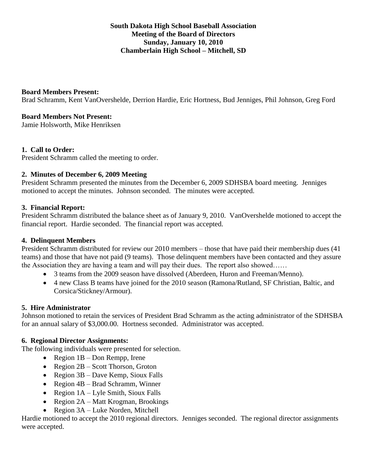# **South Dakota High School Baseball Association Meeting of the Board of Directors Sunday, January 10, 2010 Chamberlain High School – Mitchell, SD**

### **Board Members Present:**

Brad Schramm, Kent VanOvershelde, Derrion Hardie, Eric Hortness, Bud Jenniges, Phil Johnson, Greg Ford

### **Board Members Not Present:**

Jamie Holsworth, Mike Henriksen

#### **1. Call to Order:**

President Schramm called the meeting to order.

#### **2. Minutes of December 6, 2009 Meeting**

President Schramm presented the minutes from the December 6, 2009 SDHSBA board meeting. Jenniges motioned to accept the minutes. Johnson seconded. The minutes were accepted.

#### **3. Financial Report:**

President Schramm distributed the balance sheet as of January 9, 2010. VanOvershelde motioned to accept the financial report. Hardie seconded. The financial report was accepted.

## **4. Delinquent Members**

President Schramm distributed for review our 2010 members – those that have paid their membership dues (41 teams) and those that have not paid (9 teams). Those delinquent members have been contacted and they assure the Association they are having a team and will pay their dues. The report also showed……

- 3 teams from the 2009 season have dissolved (Aberdeen, Huron and Freeman/Menno).
- 4 new Class B teams have joined for the 2010 season (Ramona/Rutland, SF Christian, Baltic, and Corsica/Stickney/Armour).

#### **5. Hire Administrator**

Johnson motioned to retain the services of President Brad Schramm as the acting administrator of the SDHSBA for an annual salary of \$3,000.00. Hortness seconded. Administrator was accepted.

#### **6. Regional Director Assignments:**

The following individuals were presented for selection.

- Region  $1B Don$  Rempp, Irene
- Region 2B Scott Thorson, Groton
- Region  $3B$  Dave Kemp, Sioux Falls
- Region 4B Brad Schramm, Winner
- Region  $1A L$ yle Smith, Sioux Falls
- Region 2A Matt Krogman, Brookings
- Region 3A Luke Norden, Mitchell

Hardie motioned to accept the 2010 regional directors. Jenniges seconded. The regional director assignments were accepted.